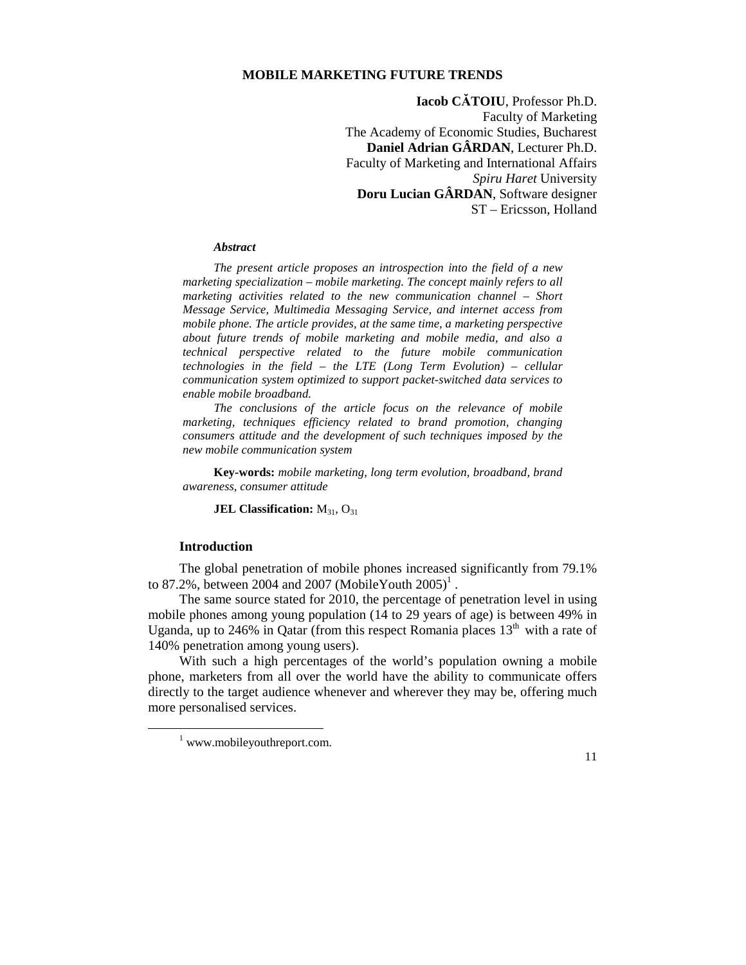## **MOBILE MARKETING FUTURE TRENDS**

**Iacob CĂTOIU**, Professor Ph.D. Faculty of Marketing The Academy of Economic Studies, Bucharest **Daniel Adrian GÂRDAN**, Lecturer Ph.D. Faculty of Marketing and International Affairs *Spiru Haret* University **Doru Lucian GÂRDAN**, Software designer ST – Ericsson, Holland

#### *Abstract*

*The present article proposes an introspection into the field of a new marketing specialization – mobile marketing. The concept mainly refers to all marketing activities related to the new communication channel – Short Message Service, Multimedia Messaging Service, and internet access from mobile phone. The article provides, at the same time, a marketing perspective about future trends of mobile marketing and mobile media, and also a technical perspective related to the future mobile communication technologies in the field – the LTE (Long Term Evolution) – cellular communication system optimized to support packet-switched data services to enable mobile broadband.* 

*The conclusions of the article focus on the relevance of mobile marketing, techniques efficiency related to brand promotion, changing consumers attitude and the development of such techniques imposed by the new mobile communication system* 

**Key-words:** *mobile marketing, long term evolution, broadband, brand awareness, consumer attitude* 

**JEL Classification:** M<sub>31</sub>, O<sub>31</sub>

### **Introduction**

 $\overline{a}$ 

The global penetration of mobile phones increased significantly from 79.1% to 87.2%, between 2004 and 2007 (Mobile Youth  $2005$ )<sup>1</sup>.

The same source stated for 2010, the percentage of penetration level in using mobile phones among young population (14 to 29 years of age) is between 49% in Uganda, up to 246% in Qatar (from this respect Romania places  $13<sup>th</sup>$  with a rate of 140% penetration among young users).

With such a high percentages of the world's population owning a mobile phone, marketers from all over the world have the ability to communicate offers directly to the target audience whenever and wherever they may be, offering much more personalised services.

<sup>&</sup>lt;sup>1</sup> www.mobileyouthreport.com.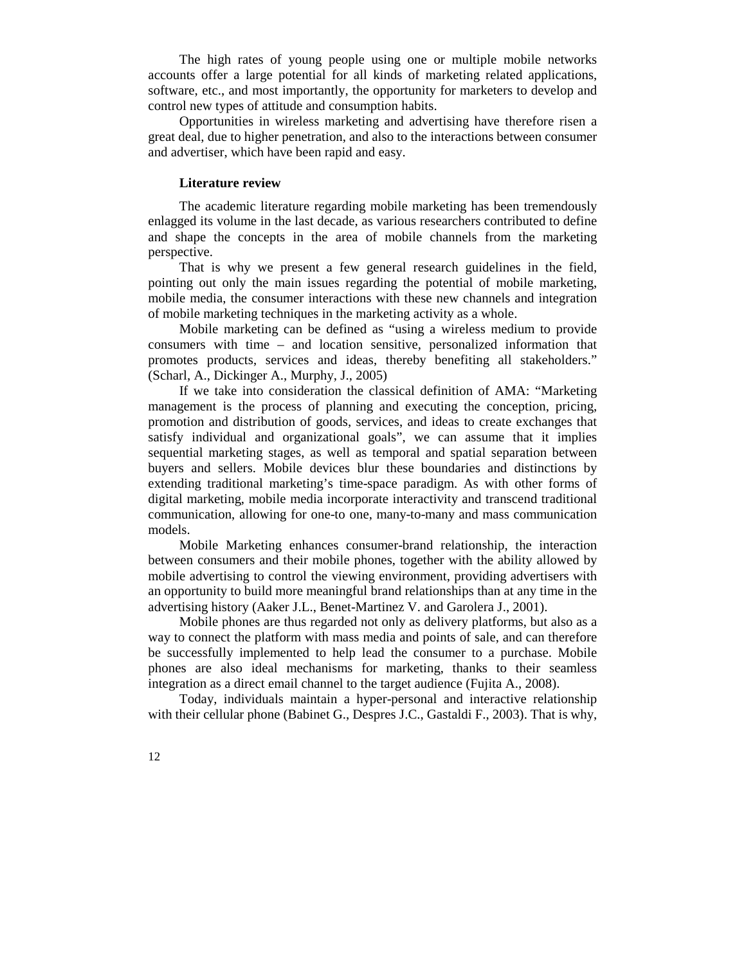The high rates of young people using one or multiple mobile networks accounts offer a large potential for all kinds of marketing related applications, software, etc., and most importantly, the opportunity for marketers to develop and control new types of attitude and consumption habits.

Opportunities in wireless marketing and advertising have therefore risen a great deal, due to higher penetration, and also to the interactions between consumer and advertiser, which have been rapid and easy.

### **Literature review**

The academic literature regarding mobile marketing has been tremendously enlagged its volume in the last decade, as various researchers contributed to define and shape the concepts in the area of mobile channels from the marketing perspective.

That is why we present a few general research guidelines in the field, pointing out only the main issues regarding the potential of mobile marketing, mobile media, the consumer interactions with these new channels and integration of mobile marketing techniques in the marketing activity as a whole.

Mobile marketing can be defined as "using a wireless medium to provide consumers with time – and location sensitive, personalized information that promotes products, services and ideas, thereby benefiting all stakeholders." (Scharl, A., Dickinger A., Murphy, J., 2005)

If we take into consideration the classical definition of AMA: "Marketing management is the process of planning and executing the conception, pricing, promotion and distribution of goods, services, and ideas to create exchanges that satisfy individual and organizational goals", we can assume that it implies sequential marketing stages, as well as temporal and spatial separation between buyers and sellers. Mobile devices blur these boundaries and distinctions by extending traditional marketing's time-space paradigm. As with other forms of digital marketing, mobile media incorporate interactivity and transcend traditional communication, allowing for one-to one, many-to-many and mass communication models.

Mobile Marketing enhances consumer-brand relationship, the interaction between consumers and their mobile phones, together with the ability allowed by mobile advertising to control the viewing environment, providing advertisers with an opportunity to build more meaningful brand relationships than at any time in the advertising history (Aaker J.L., Benet-Martinez V. and Garolera J., 2001).

Mobile phones are thus regarded not only as delivery platforms, but also as a way to connect the platform with mass media and points of sale, and can therefore be successfully implemented to help lead the consumer to a purchase. Mobile phones are also ideal mechanisms for marketing, thanks to their seamless integration as a direct email channel to the target audience (Fujita A., 2008).

Today, individuals maintain a hyper-personal and interactive relationship with their cellular phone (Babinet G., Despres J.C., Gastaldi F., 2003). That is why,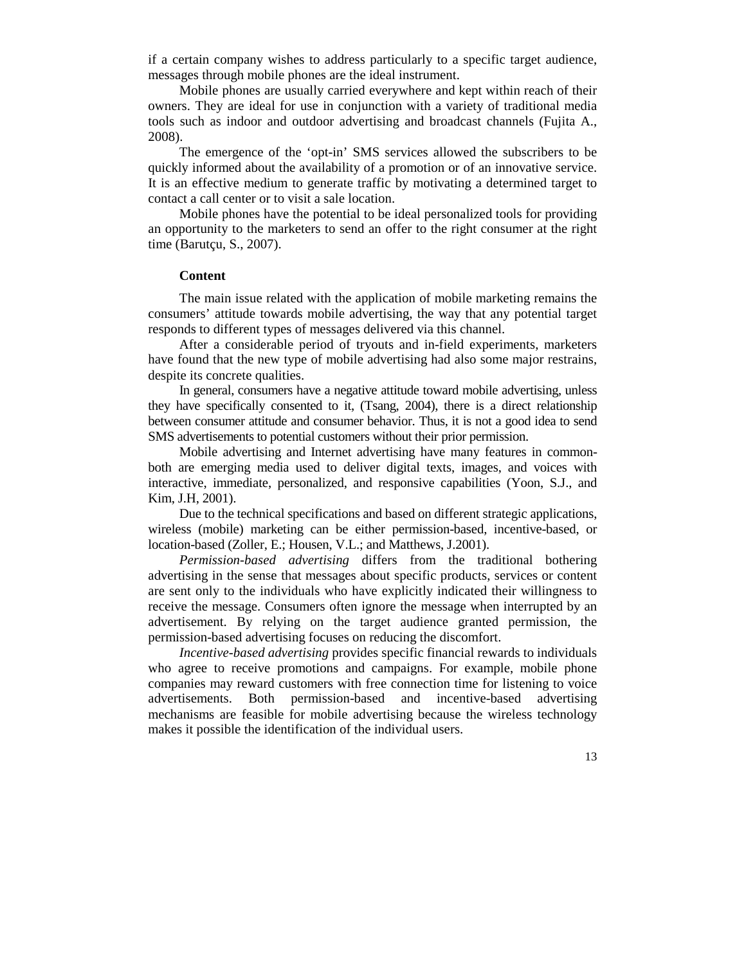if a certain company wishes to address particularly to a specific target audience, messages through mobile phones are the ideal instrument.

Mobile phones are usually carried everywhere and kept within reach of their owners. They are ideal for use in conjunction with a variety of traditional media tools such as indoor and outdoor advertising and broadcast channels (Fujita A., 2008).

The emergence of the 'opt-in' SMS services allowed the subscribers to be quickly informed about the availability of a promotion or of an innovative service. It is an effective medium to generate traffic by motivating a determined target to contact a call center or to visit a sale location.

Mobile phones have the potential to be ideal personalized tools for providing an opportunity to the marketers to send an offer to the right consumer at the right time (Barutçu, S., 2007).

### **Content**

The main issue related with the application of mobile marketing remains the consumers' attitude towards mobile advertising, the way that any potential target responds to different types of messages delivered via this channel.

After a considerable period of tryouts and in-field experiments, marketers have found that the new type of mobile advertising had also some major restrains, despite its concrete qualities.

In general, consumers have a negative attitude toward mobile advertising, unless they have specifically consented to it, (Tsang, 2004), there is a direct relationship between consumer attitude and consumer behavior. Thus, it is not a good idea to send SMS advertisements to potential customers without their prior permission.

Mobile advertising and Internet advertising have many features in commonboth are emerging media used to deliver digital texts, images, and voices with interactive, immediate, personalized, and responsive capabilities (Yoon, S.J., and Kim, J.H, 2001).

Due to the technical specifications and based on different strategic applications, wireless (mobile) marketing can be either permission-based, incentive-based, or location-based (Zoller, E.; Housen, V.L.; and Matthews, J.2001).

*Permission-based advertising* differs from the traditional bothering advertising in the sense that messages about specific products, services or content are sent only to the individuals who have explicitly indicated their willingness to receive the message. Consumers often ignore the message when interrupted by an advertisement. By relying on the target audience granted permission, the permission-based advertising focuses on reducing the discomfort.

*Incentive-based advertising* provides specific financial rewards to individuals who agree to receive promotions and campaigns. For example, mobile phone companies may reward customers with free connection time for listening to voice advertisements. Both permission-based and incentive-based advertising mechanisms are feasible for mobile advertising because the wireless technology makes it possible the identification of the individual users.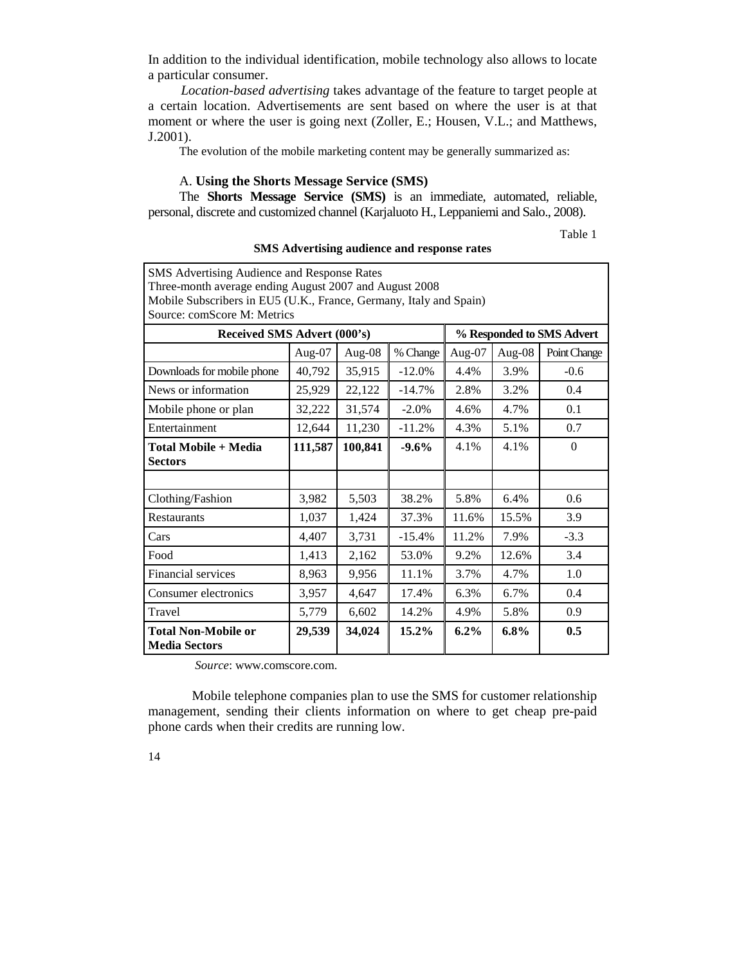In addition to the individual identification, mobile technology also allows to locate a particular consumer.

*Location-based advertising* takes advantage of the feature to target people at a certain location. Advertisements are sent based on where the user is at that moment or where the user is going next (Zoller, E.; Housen, V.L.; and Matthews, J.2001).

The evolution of the mobile marketing content may be generally summarized as:

# A. **Using the Shorts Message Service (SMS)**

The **Shorts Message Service (SMS)** is an immediate, automated, reliable, personal, discrete and customized channel (Karjaluoto H., Leppaniemi and Salo., 2008).

Table 1

| SMS Advertising Audience and Response Rates                        |         |                    |          |         |                           |              |  |  |  |  |  |
|--------------------------------------------------------------------|---------|--------------------|----------|---------|---------------------------|--------------|--|--|--|--|--|
| Three-month average ending August 2007 and August 2008             |         |                    |          |         |                           |              |  |  |  |  |  |
| Mobile Subscribers in EU5 (U.K., France, Germany, Italy and Spain) |         |                    |          |         |                           |              |  |  |  |  |  |
| Source: comScore M: Metrics                                        |         |                    |          |         |                           |              |  |  |  |  |  |
| Received SMS Advert (000's)                                        |         |                    |          |         | % Responded to SMS Advert |              |  |  |  |  |  |
|                                                                    | Aug-07  | Aug-08             | % Change | Aug-07  | Aug-08                    | Point Change |  |  |  |  |  |
| Downloads for mobile phone                                         | 40,792  | 35,915             | $-12.0%$ | 4.4%    | 3.9%                      | $-0.6$       |  |  |  |  |  |
| News or information                                                | 25,929  | 22,122<br>$-14.7%$ |          | 2.8%    | 3.2%                      | 0.4          |  |  |  |  |  |
| Mobile phone or plan                                               | 32,222  | 31,574             | $-2.0\%$ | 4.6%    | 4.7%                      | 0.1          |  |  |  |  |  |
| Entertainment                                                      | 12,644  | 11,230             | $-11.2%$ | 4.3%    | 5.1%                      | 0.7          |  |  |  |  |  |
| Total Mobile + Media<br><b>Sectors</b>                             | 111,587 | 100,841            | $-9.6%$  | 4.1%    | 4.1%                      | $\Omega$     |  |  |  |  |  |
|                                                                    |         |                    |          |         |                           |              |  |  |  |  |  |
| Clothing/Fashion                                                   | 3,982   | 5,503              | 38.2%    | 5.8%    | 6.4%                      | 0.6          |  |  |  |  |  |
| <b>Restaurants</b>                                                 | 1,037   | 1,424              | 37.3%    | 11.6%   | 15.5%                     | 3.9          |  |  |  |  |  |
| Cars                                                               | 4,407   | 3,731              | $-15.4%$ | 11.2%   | 7.9%                      | $-3.3$       |  |  |  |  |  |
| Food                                                               | 1,413   | 2,162              | 53.0%    | 9.2%    | 12.6%                     | 3.4          |  |  |  |  |  |
| Financial services                                                 | 8,963   | 9,956              | 11.1%    | 3.7%    | 4.7%                      | 1.0          |  |  |  |  |  |
| Consumer electronics                                               | 3,957   | 4,647              | 17.4%    | 6.3%    | 6.7%                      | 0.4          |  |  |  |  |  |
| Travel                                                             | 5,779   | 6,602              | 14.2%    | 4.9%    | 5.8%                      | 0.9          |  |  |  |  |  |
| <b>Total Non-Mobile or</b><br><b>Media Sectors</b>                 | 29,539  | 34,024             | 15.2%    | $6.2\%$ | $6.8\%$                   | 0.5          |  |  |  |  |  |

**SMS Advertising audience and response rates** 

 *Source*: www.comscore.com.

Mobile telephone companies plan to use the SMS for customer relationship management, sending their clients information on where to get cheap pre-paid phone cards when their credits are running low.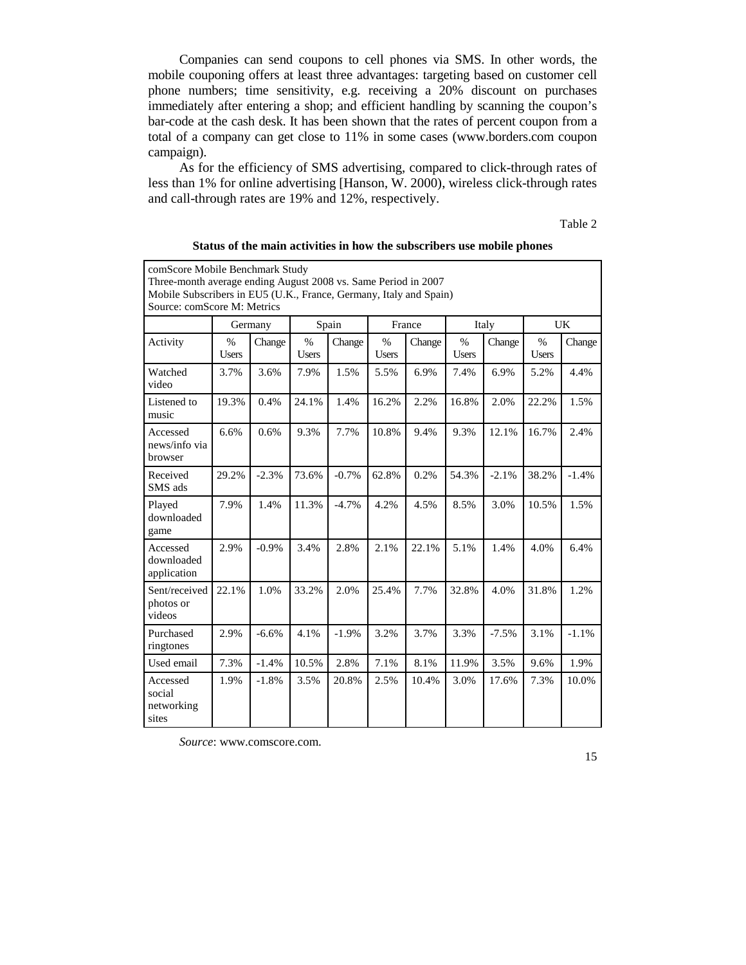Companies can send coupons to cell phones via SMS. In other words, the mobile couponing offers at least three advantages: targeting based on customer cell phone numbers; time sensitivity, e.g. receiving a 20% discount on purchases immediately after entering a shop; and efficient handling by scanning the coupon's bar-code at the cash desk. It has been shown that the rates of percent coupon from a total of a company can get close to 11% in some cases (www.borders.com coupon campaign).

As for the efficiency of SMS advertising, compared to click-through rates of less than 1% for online advertising [Hanson, W. 2000), wireless click-through rates and call-through rates are 19% and 12%, respectively.

Table 2

| comScore Mobile Benchmark Study<br>Three-month average ending August 2008 vs. Same Period in 2007<br>Mobile Subscribers in EU5 (U.K., France, Germany, Italy and Spain)<br>Source: comScore M: Metrics |                      |          |                      |         |               |        |                      |         |                      |         |  |  |
|--------------------------------------------------------------------------------------------------------------------------------------------------------------------------------------------------------|----------------------|----------|----------------------|---------|---------------|--------|----------------------|---------|----------------------|---------|--|--|
|                                                                                                                                                                                                        | Germany              |          | Spain                |         | France        |        | Italy                |         | <b>UK</b>            |         |  |  |
| Activity                                                                                                                                                                                               | $\%$<br><b>Users</b> | Change   | $\%$<br><b>Users</b> | Change  | $\%$<br>Users | Change | $\%$<br><b>Users</b> | Change  | $\%$<br><b>Users</b> | Change  |  |  |
| Watched<br>video                                                                                                                                                                                       | 3.7%                 | 3.6%     | 7.9%                 | 1.5%    | 5.5%          | 6.9%   | 7.4%                 | 6.9%    | 5.2%                 | 4.4%    |  |  |
| Listened to<br>music                                                                                                                                                                                   | 19.3%                | 0.4%     | 24.1%                | 1.4%    | 16.2%         | 2.2%   | 16.8%                | 2.0%    | 22.2%                | 1.5%    |  |  |
| Accessed<br>news/info via<br>browser                                                                                                                                                                   | 6.6%                 | 0.6%     | 9.3%                 | 7.7%    | 10.8%         | 9.4%   | 9.3%                 | 12.1%   | 16.7%                | 2.4%    |  |  |
| Received<br>SMS ads                                                                                                                                                                                    | 29.2%                | $-2.3%$  | 73.6%                | $-0.7%$ | 62.8%         | 0.2%   | 54.3%                | $-2.1%$ | 38.2%                | $-1.4%$ |  |  |
| Played<br>downloaded<br>game                                                                                                                                                                           | 7.9%                 | 1.4%     | 11.3%                | $-4.7%$ | 4.2%          | 4.5%   | 8.5%                 | 3.0%    | 10.5%                | 1.5%    |  |  |
| Accessed<br>downloaded<br>application                                                                                                                                                                  | 2.9%                 | $-0.9\%$ | 3.4%                 | 2.8%    | 2.1%          | 22.1%  | 5.1%                 | 1.4%    | 4.0%                 | 6.4%    |  |  |
| Sent/received<br>photos or<br>videos                                                                                                                                                                   | 22.1%                | 1.0%     | 33.2%                | 2.0%    | 25.4%         | 7.7%   | 32.8%                | 4.0%    | 31.8%                | 1.2%    |  |  |
| Purchased<br>ringtones                                                                                                                                                                                 | 2.9%                 | $-6.6%$  | 4.1%                 | $-1.9%$ | 3.2%          | 3.7%   | 3.3%                 | $-7.5%$ | 3.1%                 | $-1.1%$ |  |  |
| Used email                                                                                                                                                                                             | 7.3%                 | $-1.4%$  | 10.5%                | 2.8%    | 7.1%          | 8.1%   | 11.9%                | 3.5%    | 9.6%                 | 1.9%    |  |  |
| Accessed<br>social<br>networking<br>sites                                                                                                                                                              | 1.9%                 | $-1.8%$  | 3.5%                 | 20.8%   | 2.5%          | 10.4%  | 3.0%                 | 17.6%   | 7.3%                 | 10.0%   |  |  |

**Status of the main activities in how the subscribers use mobile phones** 

*Source*: www.comscore.com.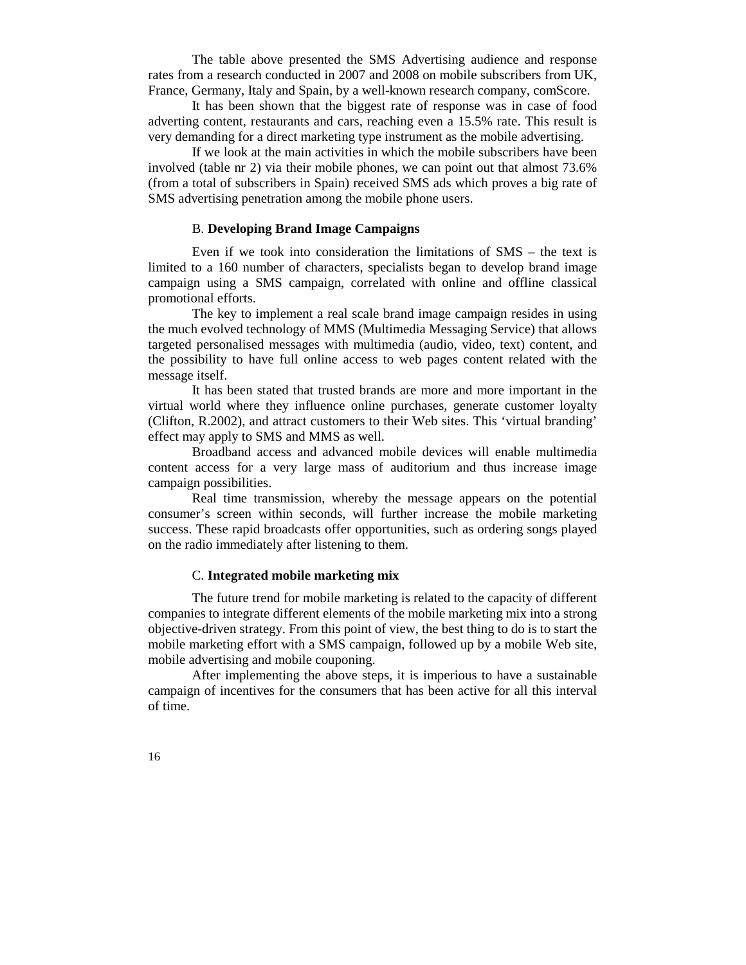The table above presented the SMS Advertising audience and response rates from a research conducted in 2007 and 2008 on mobile subscribers from UK, France, Germany, Italy and Spain, by a well-known research company, comScore.

It has been shown that the biggest rate of response was in case of food adverting content, restaurants and cars, reaching even a 15.5% rate. This result is very demanding for a direct marketing type instrument as the mobile advertising.

If we look at the main activities in which the mobile subscribers have been involved (table nr 2) via their mobile phones, we can point out that almost 73.6% (from a total of subscribers in Spain) received SMS ads which proves a big rate of SMS advertising penetration among the mobile phone users.

## B. **Developing Brand Image Campaigns**

Even if we took into consideration the limitations of SMS – the text is limited to a 160 number of characters, specialists began to develop brand image campaign using a SMS campaign, correlated with online and offline classical promotional efforts.

The key to implement a real scale brand image campaign resides in using the much evolved technology of MMS (Multimedia Messaging Service) that allows targeted personalised messages with multimedia (audio, video, text) content, and the possibility to have full online access to web pages content related with the message itself.

It has been stated that trusted brands are more and more important in the virtual world where they influence online purchases, generate customer loyalty (Clifton, R.2002), and attract customers to their Web sites. This 'virtual branding' effect may apply to SMS and MMS as well.

Broadband access and advanced mobile devices will enable multimedia content access for a very large mass of auditorium and thus increase image campaign possibilities.

Real time transmission, whereby the message appears on the potential consumer's screen within seconds, will further increase the mobile marketing success. These rapid broadcasts offer opportunities, such as ordering songs played on the radio immediately after listening to them.

## C. **Integrated mobile marketing mix**

The future trend for mobile marketing is related to the capacity of different companies to integrate different elements of the mobile marketing mix into a strong objective-driven strategy. From this point of view, the best thing to do is to start the mobile marketing effort with a SMS campaign, followed up by a mobile Web site, mobile advertising and mobile couponing.

After implementing the above steps, it is imperious to have a sustainable campaign of incentives for the consumers that has been active for all this interval of time.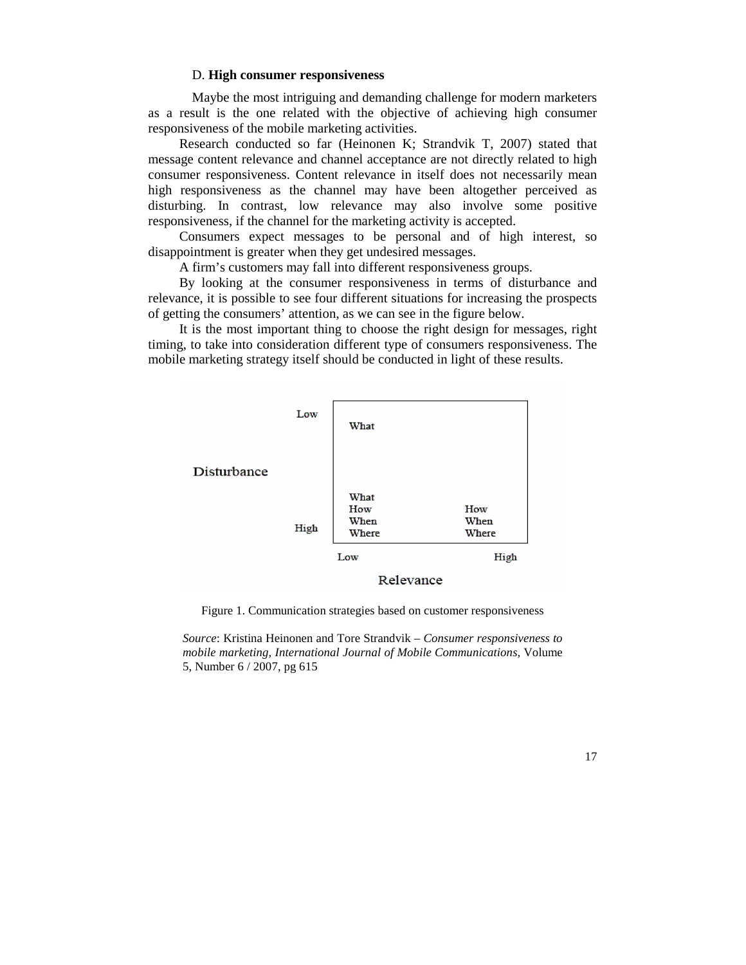### D. **High consumer responsiveness**

Maybe the most intriguing and demanding challenge for modern marketers as a result is the one related with the objective of achieving high consumer responsiveness of the mobile marketing activities.

Research conducted so far (Heinonen K; Strandvik T, 2007) stated that message content relevance and channel acceptance are not directly related to high consumer responsiveness. Content relevance in itself does not necessarily mean high responsiveness as the channel may have been altogether perceived as disturbing. In contrast, low relevance may also involve some positive responsiveness, if the channel for the marketing activity is accepted.

Consumers expect messages to be personal and of high interest, so disappointment is greater when they get undesired messages.

A firm's customers may fall into different responsiveness groups.

By looking at the consumer responsiveness in terms of disturbance and relevance, it is possible to see four different situations for increasing the prospects of getting the consumers' attention, as we can see in the figure below.

It is the most important thing to choose the right design for messages, right timing, to take into consideration different type of consumers responsiveness. The mobile marketing strategy itself should be conducted in light of these results.



Relevance

Figure 1. Communication strategies based on customer responsiveness

*Source*: Kristina Heinonen and Tore Strandvik – *Consumer responsiveness to mobile marketing, International Journal of Mobile Communications,* Volume 5, Number 6 / 2007, pg 615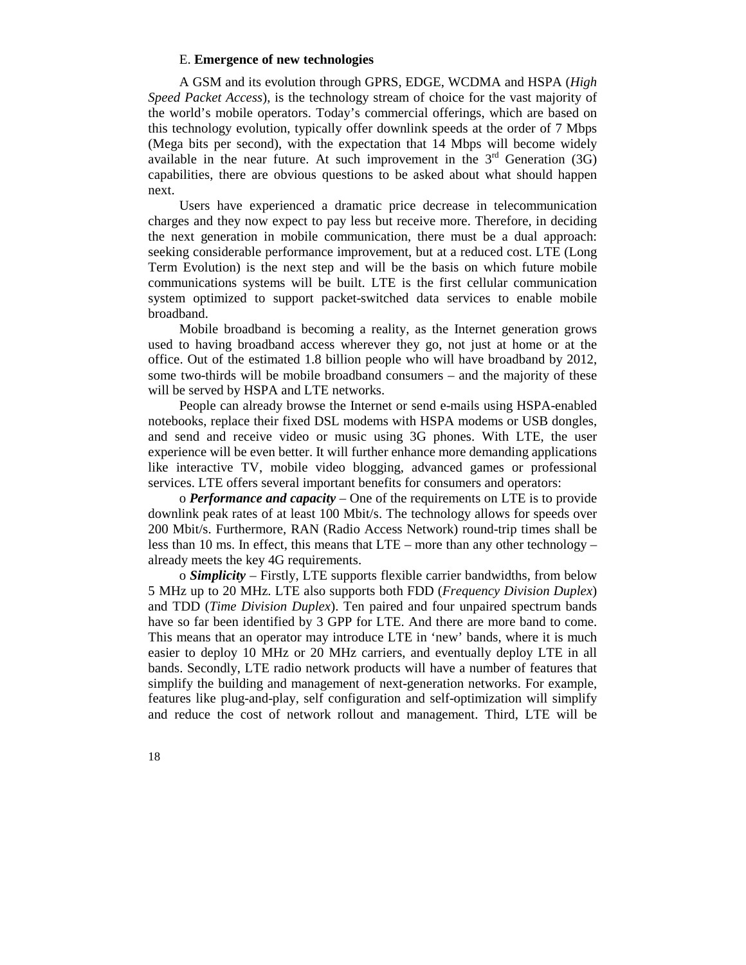## E. **Emergence of new technologies**

A GSM and its evolution through GPRS, EDGE, WCDMA and HSPA (*High Speed Packet Access*), is the technology stream of choice for the vast majority of the world's mobile operators. Today's commercial offerings, which are based on this technology evolution, typically offer downlink speeds at the order of 7 Mbps (Mega bits per second), with the expectation that 14 Mbps will become widely available in the near future. At such improvement in the  $3<sup>rd</sup>$  Generation (3G) capabilities, there are obvious questions to be asked about what should happen next.

Users have experienced a dramatic price decrease in telecommunication charges and they now expect to pay less but receive more. Therefore, in deciding the next generation in mobile communication, there must be a dual approach: seeking considerable performance improvement, but at a reduced cost. LTE (Long Term Evolution) is the next step and will be the basis on which future mobile communications systems will be built. LTE is the first cellular communication system optimized to support packet-switched data services to enable mobile broadband.

Mobile broadband is becoming a reality, as the Internet generation grows used to having broadband access wherever they go, not just at home or at the office. Out of the estimated 1.8 billion people who will have broadband by 2012, some two-thirds will be mobile broadband consumers – and the majority of these will be served by HSPA and LTE networks.

People can already browse the Internet or send e-mails using HSPA-enabled notebooks, replace their fixed DSL modems with HSPA modems or USB dongles, and send and receive video or music using 3G phones. With LTE, the user experience will be even better. It will further enhance more demanding applications like interactive TV, mobile video blogging, advanced games or professional services. LTE offers several important benefits for consumers and operators:

o *Performance and capacity* – One of the requirements on LTE is to provide downlink peak rates of at least 100 Mbit/s. The technology allows for speeds over 200 Mbit/s. Furthermore, RAN (Radio Access Network) round-trip times shall be less than 10 ms. In effect, this means that LTE – more than any other technology – already meets the key 4G requirements.

o *Simplicity* – Firstly, LTE supports flexible carrier bandwidths, from below 5 MHz up to 20 MHz. LTE also supports both FDD (*Frequency Division Duplex*) and TDD (*Time Division Duplex*). Ten paired and four unpaired spectrum bands have so far been identified by 3 GPP for LTE. And there are more band to come. This means that an operator may introduce LTE in 'new' bands, where it is much easier to deploy 10 MHz or 20 MHz carriers, and eventually deploy LTE in all bands. Secondly, LTE radio network products will have a number of features that simplify the building and management of next-generation networks. For example, features like plug-and-play, self configuration and self-optimization will simplify and reduce the cost of network rollout and management. Third, LTE will be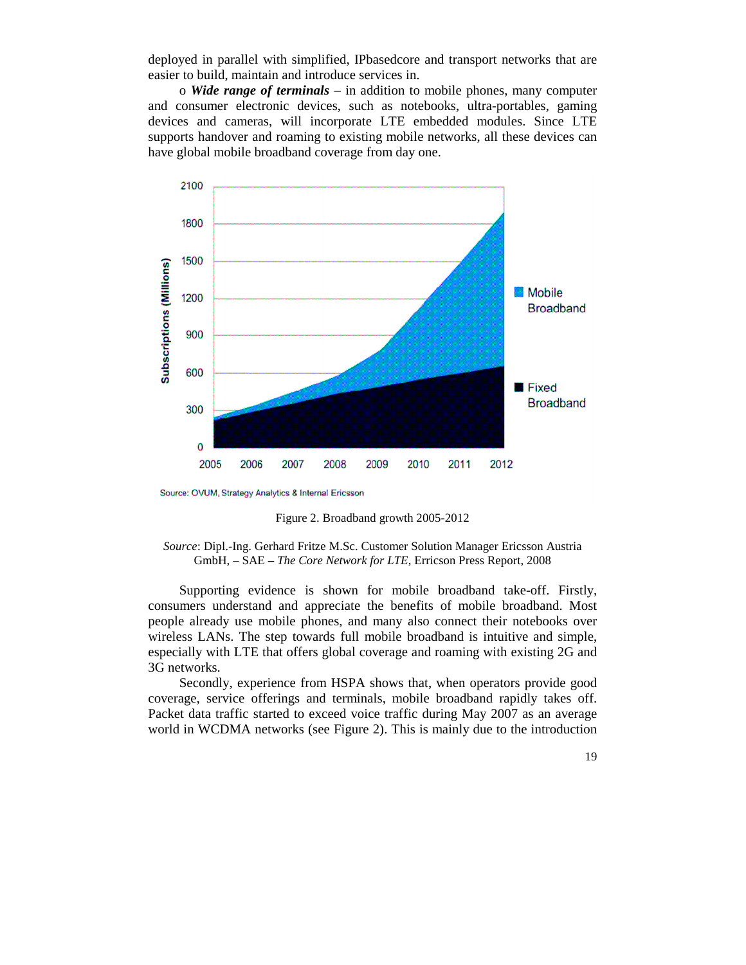deployed in parallel with simplified, IPbasedcore and transport networks that are easier to build, maintain and introduce services in.

o *Wide range of terminals* – in addition to mobile phones, many computer and consumer electronic devices, such as notebooks, ultra-portables, gaming devices and cameras, will incorporate LTE embedded modules. Since LTE supports handover and roaming to existing mobile networks, all these devices can have global mobile broadband coverage from day one.



Source: OVUM, Strategy Analytics & Internal Ericsson

Figure 2. Broadband growth 2005-2012

*Source*: Dipl.-Ing. Gerhard Fritze M.Sc. Customer Solution Manager Ericsson Austria GmbH, – SAE **–** *The Core Network for LTE*, Erricson Press Report, 2008

Supporting evidence is shown for mobile broadband take-off. Firstly, consumers understand and appreciate the benefits of mobile broadband. Most people already use mobile phones, and many also connect their notebooks over wireless LANs. The step towards full mobile broadband is intuitive and simple, especially with LTE that offers global coverage and roaming with existing 2G and 3G networks.

Secondly, experience from HSPA shows that, when operators provide good coverage, service offerings and terminals, mobile broadband rapidly takes off. Packet data traffic started to exceed voice traffic during May 2007 as an average world in WCDMA networks (see Figure 2). This is mainly due to the introduction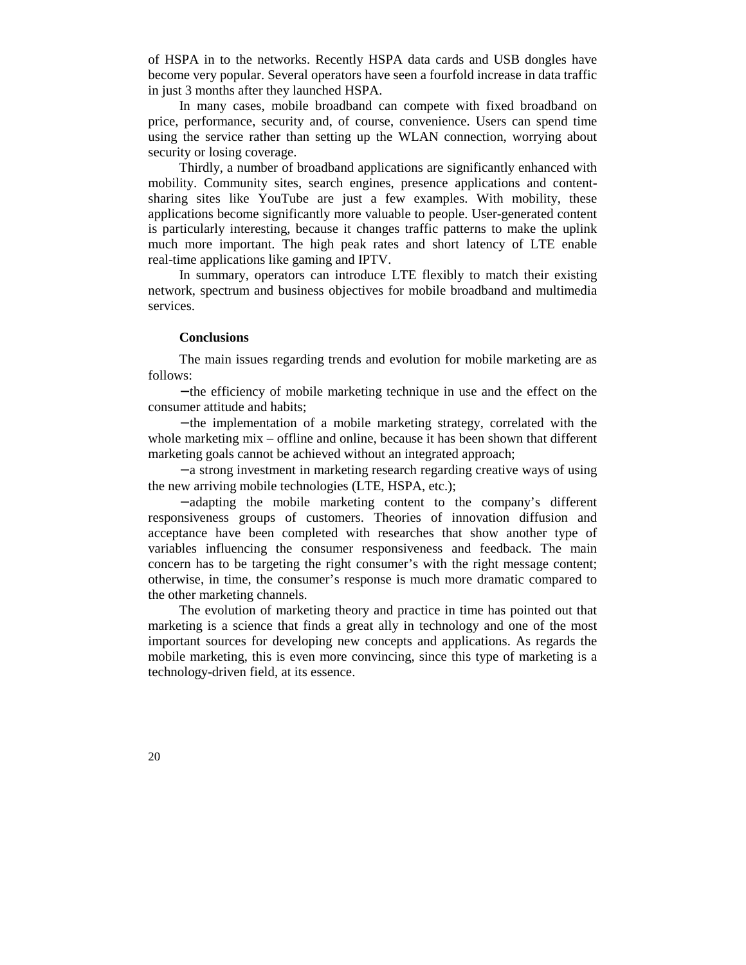of HSPA in to the networks. Recently HSPA data cards and USB dongles have become very popular. Several operators have seen a fourfold increase in data traffic in just 3 months after they launched HSPA.

In many cases, mobile broadband can compete with fixed broadband on price, performance, security and, of course, convenience. Users can spend time using the service rather than setting up the WLAN connection, worrying about security or losing coverage.

Thirdly, a number of broadband applications are significantly enhanced with mobility. Community sites, search engines, presence applications and contentsharing sites like YouTube are just a few examples. With mobility, these applications become significantly more valuable to people. User-generated content is particularly interesting, because it changes traffic patterns to make the uplink much more important. The high peak rates and short latency of LTE enable real-time applications like gaming and IPTV.

In summary, operators can introduce LTE flexibly to match their existing network, spectrum and business objectives for mobile broadband and multimedia services.

### **Conclusions**

The main issues regarding trends and evolution for mobile marketing are as follows:

− the efficiency of mobile marketing technique in use and the effect on the consumer attitude and habits;

− the implementation of a mobile marketing strategy, correlated with the whole marketing mix – offline and online, because it has been shown that different marketing goals cannot be achieved without an integrated approach;

− a strong investment in marketing research regarding creative ways of using the new arriving mobile technologies (LTE, HSPA, etc.);

− adapting the mobile marketing content to the company's different responsiveness groups of customers. Theories of innovation diffusion and acceptance have been completed with researches that show another type of variables influencing the consumer responsiveness and feedback. The main concern has to be targeting the right consumer's with the right message content; otherwise, in time, the consumer's response is much more dramatic compared to the other marketing channels.

The evolution of marketing theory and practice in time has pointed out that marketing is a science that finds a great ally in technology and one of the most important sources for developing new concepts and applications. As regards the mobile marketing, this is even more convincing, since this type of marketing is a technology-driven field, at its essence.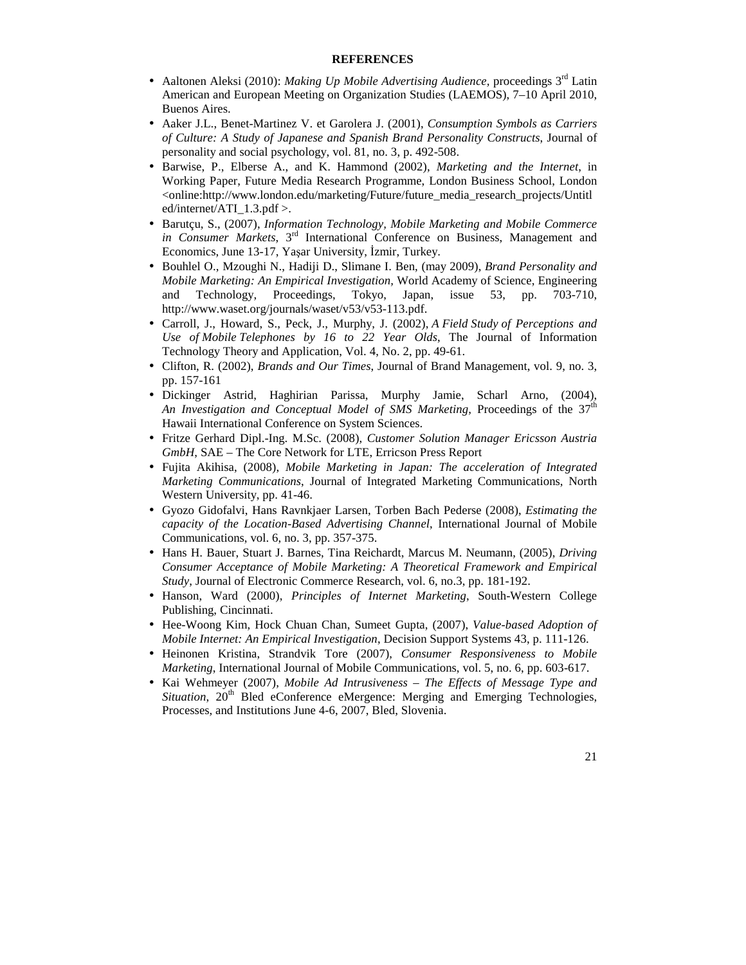#### **REFERENCES**

- Aaltonen Aleksi (2010): *Making Up Mobile Advertising Audience*, proceedings 3<sup>rd</sup> Latin American and European Meeting on Organization Studies (LAEMOS), 7–10 April 2010, Buenos Aires.
- Aaker J.L., Benet-Martinez V. et Garolera J. (2001), *Consumption Symbols as Carriers of Culture: A Study of Japanese and Spanish Brand Personality Constructs*, Journal of personality and social psychology, vol. 81, no. 3, p. 492-508.
- Barwise, P., Elberse A., and K. Hammond (2002), *Marketing and the Internet*, in Working Paper, Future Media Research Programme, London Business School, London <online:http://www.london.edu/marketing/Future/future\_media\_research\_projects/Untitl ed/internet/ATI $1.3.$ pdf >.
- Barutçu, S., (2007), *Information Technology, Mobile Marketing and Mobile Commerce in Consumer Markets*, 3rd International Conference on Business, Management and Economics, June 13-17, Yaşar University, İzmir, Turkey.
- Bouhlel O., Mzoughi N., Hadiji D., Slimane I. Ben, (may 2009), *Brand Personality and Mobile Marketing: An Empirical Investigation,* World Academy of Science, Engineering and Technology, Proceedings, Tokyo, Japan, issue 53, pp. 703-710, http://www.waset.org/journals/waset/v53/v53-113.pdf.
- Carroll, J., Howard, S., Peck, J., Murphy, J. (2002), *A Field Study of Perceptions and Use of Mobile Telephones by 16 to 22 Year Olds*, The Journal of Information Technology Theory and Application, Vol. 4, No. 2, pp. 49-61.
- Clifton, R. (2002), *Brands and Our Times*, Journal of Brand Management, vol. 9, no. 3, pp. 157-161
- Dickinger Astrid, Haghirian Parissa, Murphy Jamie, Scharl Arno, (2004), *An Investigation and Conceptual Model of SMS Marketing*, Proceedings of the 37<sup>th</sup> Hawaii International Conference on System Sciences.
- Fritze Gerhard Dipl.-Ing. M.Sc. (2008), *Customer Solution Manager Ericsson Austria GmbH*, SAE – The Core Network for LTE, Erricson Press Report
- Fujita Akihisa, (2008), *Mobile Marketing in Japan: The acceleration of Integrated Marketing Communications*, Journal of Integrated Marketing Communications, North Western University, pp. 41-46.
- Gyozo Gidofalvi, Hans Ravnkjaer Larsen, Torben Bach Pederse (2008), *Estimating the capacity of the Location-Based Advertising Channel*, International Journal of Mobile Communications, vol. 6, no. 3, pp. 357-375.
- Hans H. Bauer, Stuart J. Barnes, Tina Reichardt, Marcus M. Neumann, (2005), *Driving Consumer Acceptance of Mobile Marketing: A Theoretical Framework and Empirical Study*, Journal of Electronic Commerce Research, vol. 6, no.3, pp. 181-192.
- Hanson, Ward (2000), *Principles of Internet Marketing*, South-Western College Publishing, Cincinnati.
- Hee-Woong Kim, Hock Chuan Chan, Sumeet Gupta, (2007), *Value-based Adoption of Mobile Internet: An Empirical Investigation*, Decision Support Systems 43, p. 111-126.
- Heinonen Kristina, Strandvik Tore (2007), *Consumer Responsiveness to Mobile Marketing*, International Journal of Mobile Communications, vol. 5, no. 6, pp. 603-617.
- Kai Wehmeyer (2007), *Mobile Ad Intrusiveness The Effects of Message Type and Situation*, 20<sup>th</sup> Bled eConference eMergence: Merging and Emerging Technologies, Processes, and Institutions June 4-6, 2007, Bled, Slovenia.